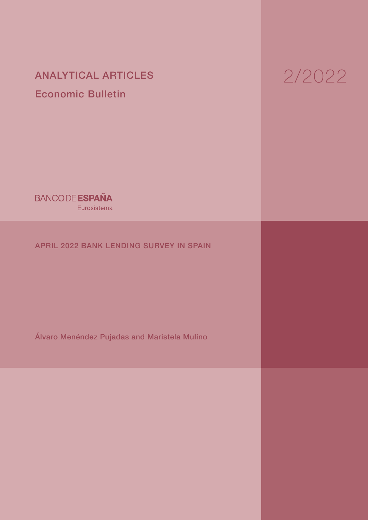ANALYTICAL ARTICLES Economic Bulletin

# 2/2022

**BANCODE ESPAÑA** Eurosistema

# APRIL 2022 BANK LENDING SURVEY IN SPAIN

Álvaro Menéndez Pujadas and Maristela Mulino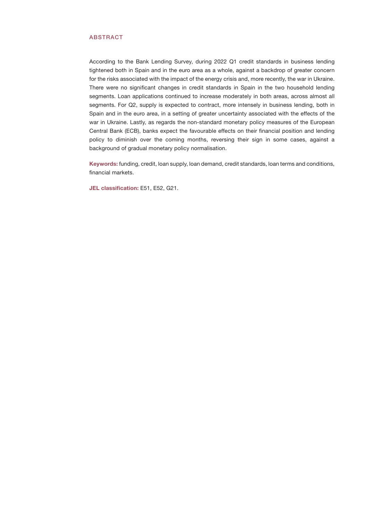## ABSTRACT

According to the Bank Lending Survey, during 2022 Q1 credit standards in business lending tightened both in Spain and in the euro area as a whole, against a backdrop of greater concern for the risks associated with the impact of the energy crisis and, more recently, the war in Ukraine. There were no significant changes in credit standards in Spain in the two household lending segments. Loan applications continued to increase moderately in both areas, across almost all segments. For Q2, supply is expected to contract, more intensely in business lending, both in Spain and in the euro area, in a setting of greater uncertainty associated with the effects of the war in Ukraine. Lastly, as regards the non-standard monetary policy measures of the European Central Bank (ECB), banks expect the favourable effects on their financial position and lending policy to diminish over the coming months, reversing their sign in some cases, against a background of gradual monetary policy normalisation.

Keywords: funding, credit, loan supply, loan demand, credit standards, loan terms and conditions, financial markets.

JEL classification: E51, E52, G21.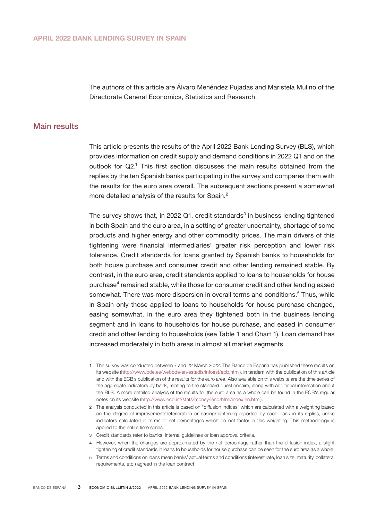The authors of this article are Álvaro Menéndez Pujadas and Maristela Mulino of the Directorate General Economics, Statistics and Research.

## Main results

This article presents the results of the April 2022 Bank Lending Survey (BLS), which provides information on credit supply and demand conditions in 2022 Q1 and on the outlook for Q2.<sup>1</sup> This first section discusses the main results obtained from the replies by the ten Spanish banks participating in the survey and compares them with the results for the euro area overall. The subsequent sections present a somewhat more detailed analysis of the results for Spain.<sup>2</sup>

The survey shows that, in 2022 Q1, credit standards<sup>3</sup> in business lending tightened in both Spain and the euro area, in a setting of greater uncertainty, shortage of some products and higher energy and other commodity prices. The main drivers of this tightening were financial intermediaries' greater risk perception and lower risk tolerance. Credit standards for loans granted by Spanish banks to households for both house purchase and consumer credit and other lending remained stable. By contrast, in the euro area, credit standards applied to loans to households for house purchase<sup>4</sup> remained stable, while those for consumer credit and other lending eased somewhat. There was more dispersion in overall terms and conditions.<sup>5</sup> Thus, while in Spain only those applied to loans to households for house purchase changed, easing somewhat, in the euro area they tightened both in the business lending segment and in loans to households for house purchase, and eased in consumer credit and other lending to households (see Table 1 and Chart 1). Loan demand has increased moderately in both areas in almost all market segments.

<sup>1</sup> The survey was conducted between 7 and 22 March 2022. The Banco de España has published these results on its website [\(http://www.bde.es/webbde/en/estadis/infoest/epb.html\)](http://www.bde.es/webbde/en/estadis/infoest/epb.html), in tandem with the publication of this article and with the ECB's publication of the results for the euro area. Also available on this website are the time series of the aggregate indicators by bank, relating to the standard questionnaire, along with additional information about the BLS. A more detailed analysis of the results for the euro area as a whole can be found in the ECB's regular notes on its website (<http://www.ecb.int/stats/money/lend/html/index.en.html>).

<sup>2</sup> The analysis conducted in this article is based on "diffusion indices" which are calculated with a weighting based on the degree of improvement/deterioration or easing/tightening reported by each bank in its replies, unlike indicators calculated in terms of net percentages which do not factor in this weighting. This methodology is applied to the entire time series.

<sup>3</sup> Credit standards refer to banks' internal guidelines or loan approval criteria.

<sup>4</sup> However, when the changes are approximated by the net percentage rather than the diffusion index, a slight tightening of credit standards in loans to households for house purchase can be seen for the euro area as a whole.

<sup>5</sup> Terms and conditions on loans mean banks' actual terms and conditions (interest rate, loan size, maturity, collateral requirements, etc.) agreed in the loan contract.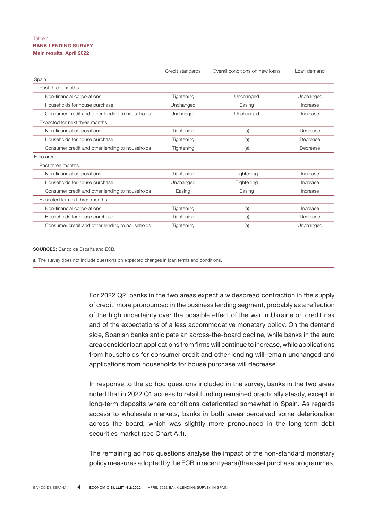## BANK LENDING SURVEY Main results. April 2022 Table 1

|                                                 | Credit standards | Overall conditions on new loans | Loan demand |
|-------------------------------------------------|------------------|---------------------------------|-------------|
| Spain                                           |                  |                                 |             |
| Past three months                               |                  |                                 |             |
| Non-financial corporations                      | Tightening       | Unchanged                       | Unchanged   |
| Households for house purchase                   | Unchanged        | Easing                          | Increase    |
| Consumer credit and other lending to households | Unchanged        | Unchanged                       | Increase    |
| Expected for next three months                  |                  |                                 |             |
| Non-financial corporations                      | Tightening       | (a)                             | Decrease    |
| Households for house purchase                   | Tightening       | (a)                             | Decrease    |
| Consumer credit and other lending to households | Tightening       | (a)                             | Decrease    |
| Euro area                                       |                  |                                 |             |
| Past three months                               |                  |                                 |             |
| Non-financial corporations                      | Tightening       | Tightening                      | Increase    |
| Households for house purchase                   | Unchanged        | Tightening                      | Increase    |
| Consumer credit and other lending to households | Easing           | Easing                          | Increase    |
| Expected for next three months                  |                  |                                 |             |
| Non-financial corporations                      | Tightening       | (a)                             | Increase    |
| Households for house purchase                   | Tightening       | (a)                             | Decrease    |
| Consumer credit and other lending to households | Tightening       | (a)                             | Unchanged   |

SOURCES: Banco de España and ECB.

a The survey does not include questions on expected changes in loan terms and conditions.

For 2022 Q2, banks in the two areas expect a widespread contraction in the supply of credit, more pronounced in the business lending segment, probably as a reflection of the high uncertainty over the possible effect of the war in Ukraine on credit risk and of the expectations of a less accommodative monetary policy. On the demand side, Spanish banks anticipate an across-the-board decline, while banks in the euro area consider loan applications from firms will continue to increase, while applications from households for consumer credit and other lending will remain unchanged and applications from households for house purchase will decrease.

In response to the ad hoc questions included in the survey, banks in the two areas noted that in 2022 Q1 access to retail funding remained practically steady, except in long-term deposits where conditions deteriorated somewhat in Spain. As regards access to wholesale markets, banks in both areas perceived some deterioration across the board, which was slightly more pronounced in the long-term debt securities market (see Chart A.1).

The remaining ad hoc questions analyse the impact of the non-standard monetary policy measures adopted by the ECB in recent years (the asset purchase programmes,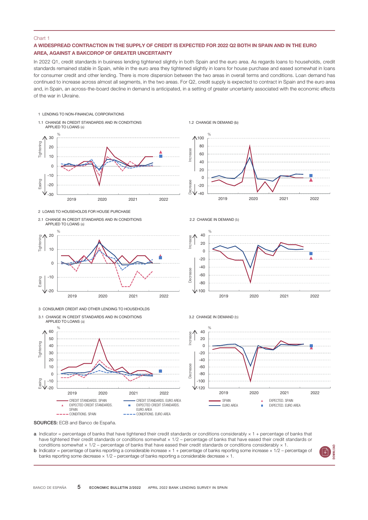#### Chart 1

## A WIDESPREAD CONTRACTION IN THE SUPPLY OF CREDIT IS EXPECTED FOR 2022 Q2 BOTH IN SPAIN AND IN THE EURO AREA, AGAINST A BAKCDROP OF GREATER UNCERTAINTY

In 2022 Q1, credit standards in business lending tightened slightly in both Spain and the euro area. As regards loans to households, credit standards remained stable in Spain, while in the euro area they tightened slightly in loans for house purchase and eased somewhat in loans for consumer credit and other lending. There is more dispersion between the two areas in overall terms and conditions. Loan demand has continued to increase across almost all segments, in the two areas. For Q2, credit supply is expected to contract in Spain and the euro area and, in Spain, an across-the-board decline in demand is anticipated, in a setting of greater uncertainty associated with the economic effects of the war in Ukraine.



- a Indicator = percentage of banks that have tightened their credit standards or conditions considerably × 1 + percentage of banks that have tightened their credit standards or conditions somewhat  $\times$  1/2 – percentage of banks that have eased their credit standards or conditions somewhat  $\times$  1/2 – percentage of banks that have eased their credit standards or conditions considerably  $\times$  1.
- **b** Indicator = percentage of banks reporting a considerable increase  $\times$  1 + percentage of banks reporting some increase  $\times$  1/2 percentage of banks reporting some decrease × 1/2 – percentage of banks reporting a considerable decrease × 1.

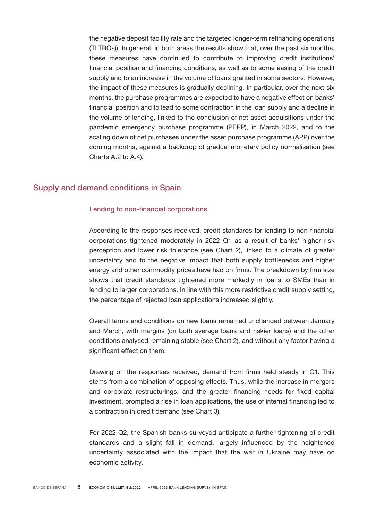the negative deposit facility rate and the targeted longer-term refinancing operations (TLTROs)). In general, in both areas the results show that, over the past six months, these measures have continued to contribute to improving credit institutions' financial position and financing conditions, as well as to some easing of the credit supply and to an increase in the volume of loans granted in some sectors. However, the impact of these measures is gradually declining. In particular, over the next six months, the purchase programmes are expected to have a negative effect on banks' financial position and to lead to some contraction in the loan supply and a decline in the volume of lending, linked to the conclusion of net asset acquisitions under the pandemic emergency purchase programme (PEPP), in March 2022, and to the scaling down of net purchases under the asset purchase programme (APP) over the coming months, against a backdrop of gradual monetary policy normalisation (see Charts A.2 to A.4).

# Supply and demand conditions in Spain

## Lending to non-financial corporations

According to the responses received, credit standards for lending to non-financial corporations tightened moderately in 2022 Q1 as a result of banks' higher risk perception and lower risk tolerance (see Chart 2), linked to a climate of greater uncertainty and to the negative impact that both supply bottlenecks and higher energy and other commodity prices have had on firms. The breakdown by firm size shows that credit standards tightened more markedly in loans to SMEs than in lending to larger corporations. In line with this more restrictive credit supply setting, the percentage of rejected loan applications increased slightly.

Overall terms and conditions on new loans remained unchanged between January and March, with margins (on both average loans and riskier loans) and the other conditions analysed remaining stable (see Chart 2), and without any factor having a significant effect on them.

Drawing on the responses received, demand from firms held steady in Q1. This stems from a combination of opposing effects. Thus, while the increase in mergers and corporate restructurings, and the greater financing needs for fixed capital investment, prompted a rise in loan applications, the use of internal financing led to a contraction in credit demand (see Chart 3).

For 2022 Q2, the Spanish banks surveyed anticipate a further tightening of credit standards and a slight fall in demand, largely influenced by the heightened uncertainty associated with the impact that the war in Ukraine may have on economic activity.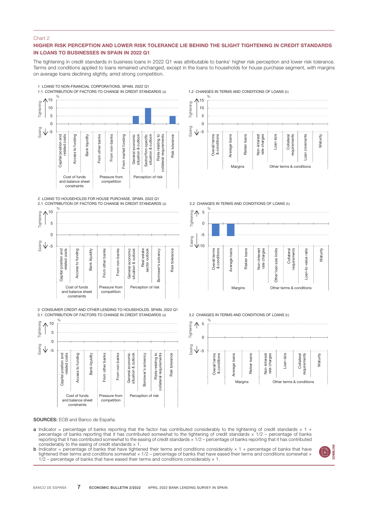#### Chart 2

## HIGHER RISK PERCEPTION AND LOWER RISK TOLERANCE LIE BEHIND THE SLIGHT TIGHTENING IN CREDIT STANDARDS IN LOANS TO BUSINESSES IN SPAIN IN 2022 Q1

The tightening in credit standards in business loans in 2022 Q1 was attributable to banks' higher risk perception and lower risk tolerance. Terms and conditions applied to loans remained unchanged, except in the loans to households for house purchase segment, with margins on average loans declining slightly, amid strong competition.



2 LOANS TO HOUSEHOLDS FOR HOUSE PURCHASE. SPAIN. 2022 Q1



3.1 CONTRIBUTION OF FACTORS TO CHANGE IN CREDIT STANDARDS (a)



1.2 CHANGES IN TERMS AND CONDITIONS OF LOANS (b)



2.2 CHANGES IN TERMS AND CONDITIONS OF LOANS (b)



3.2 CHANGES IN TERMS AND CONDITIONS OF LOANS (b)



- **a** Indicator = percentage of banks reporting that the factor has contributed considerably to the tightening of credit standards  $\times$  1 + percentage of banks reporting that it has contributed somewhat to the tightening of credit standards  $\times$  1/2 – percentage of banks reporting that it has contributed somewhat to the easing of credit standards × 1/2 – percentage of banks reporting that it has contributed considerably to the easing of credit standards  $\times$  1.
- **b** Indicator = percentage of banks that have tightened their terms and conditions considerably  $\times$  1 + percentage of banks that have tightened their terms and conditions somewhat  $\times$  1/2 percentage of banks that have  $1/2$  – percentage of banks that have eased their terms and conditions considerably  $\times$  1.

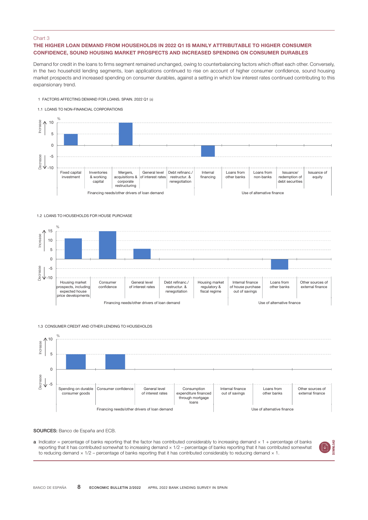#### Chart 3

## THE HIGHER LOAN DEMAND FROM HOUSEHOLDS IN 2022 Q1 IS MAINLY ATTRIBUTABLE TO HIGHER CONSUMER CONFIDENCE, SOUND HOUSING MARKET PROSPECTS AND INCREASED SPENDING ON CONSUMER DURABLES

Demand for credit in the loans to firms segment remained unchanged, owing to counterbalancing factors which offset each other. Conversely, in the two household lending segments, loan applications continued to rise on account of higher consumer confidence, sound housing market prospects and increased spending on consumer durables, against a setting in which low interest rates continued contributing to this expansionary trend.

#### 1 FACTORS AFFECTING DEMAND FOR LOANS. SPAIN. 2022 Q1 (a)





#### 1.2 LOANS TO HOUSEHOLDS FOR HOUSE PURCHASE



#### 1.3 CONSUMER CREDIT AND OTHER LENDING TO HOUSEHOLDS



#### SOURCES: Banco de España and ECB.

 $a$  Indicator = percentage of banks reporting that the factor has contributed considerably to increasing demand  $\times$  1 + percentage of banks reporting that it has contributed somewhat to increasing demand × 1/2 – percentage of banks reporting that it has contributed somewhat to reducing demand  $\times$  1/2 – percentage of banks reporting that it has contributed considerably to reducing demand  $\times$  1.

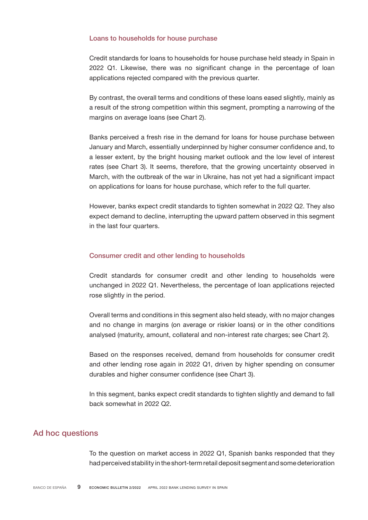## Loans to households for house purchase

Credit standards for loans to households for house purchase held steady in Spain in 2022 Q1. Likewise, there was no significant change in the percentage of loan applications rejected compared with the previous quarter.

By contrast, the overall terms and conditions of these loans eased slightly, mainly as a result of the strong competition within this segment, prompting a narrowing of the margins on average loans (see Chart 2).

Banks perceived a fresh rise in the demand for loans for house purchase between January and March, essentially underpinned by higher consumer confidence and, to a lesser extent, by the bright housing market outlook and the low level of interest rates (see Chart 3). It seems, therefore, that the growing uncertainty observed in March, with the outbreak of the war in Ukraine, has not yet had a significant impact on applications for loans for house purchase, which refer to the full quarter.

However, banks expect credit standards to tighten somewhat in 2022 Q2. They also expect demand to decline, interrupting the upward pattern observed in this segment in the last four quarters.

## Consumer credit and other lending to households

Credit standards for consumer credit and other lending to households were unchanged in 2022 Q1. Nevertheless, the percentage of loan applications rejected rose slightly in the period.

Overall terms and conditions in this segment also held steady, with no major changes and no change in margins (on average or riskier loans) or in the other conditions analysed (maturity, amount, collateral and non-interest rate charges; see Chart 2).

Based on the responses received, demand from households for consumer credit and other lending rose again in 2022 Q1, driven by higher spending on consumer durables and higher consumer confidence (see Chart 3).

In this segment, banks expect credit standards to tighten slightly and demand to fall back somewhat in 2022 Q2.

# Ad hoc questions

To the question on market access in 2022 Q1, Spanish banks responded that they had perceived stability in the short-term retail deposit segment and some deterioration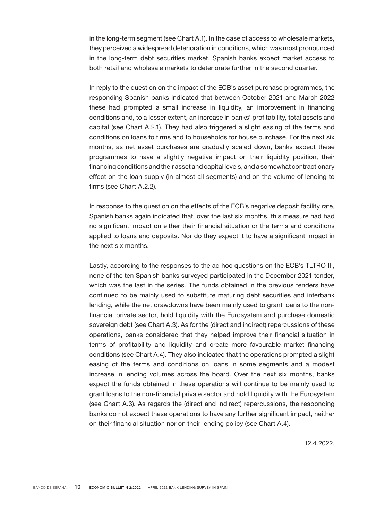in the long-term segment (see Chart A.1). In the case of access to wholesale markets, they perceived a widespread deterioration in conditions, which was most pronounced in the long-term debt securities market. Spanish banks expect market access to both retail and wholesale markets to deteriorate further in the second quarter.

In reply to the question on the impact of the ECB's asset purchase programmes, the responding Spanish banks indicated that between October 2021 and March 2022 these had prompted a small increase in liquidity, an improvement in financing conditions and, to a lesser extent, an increase in banks' profitability, total assets and capital (see Chart A.2.1). They had also triggered a slight easing of the terms and conditions on loans to firms and to households for house purchase. For the next six months, as net asset purchases are gradually scaled down, banks expect these programmes to have a slightly negative impact on their liquidity position, their financing conditions and their asset and capital levels, and a somewhat contractionary effect on the loan supply (in almost all segments) and on the volume of lending to firms (see Chart A.2.2).

In response to the question on the effects of the ECB's negative deposit facility rate, Spanish banks again indicated that, over the last six months, this measure had had no significant impact on either their financial situation or the terms and conditions applied to loans and deposits. Nor do they expect it to have a significant impact in the next six months.

Lastly, according to the responses to the ad hoc questions on the ECB's TLTRO III, none of the ten Spanish banks surveyed participated in the December 2021 tender, which was the last in the series. The funds obtained in the previous tenders have continued to be mainly used to substitute maturing debt securities and interbank lending, while the net drawdowns have been mainly used to grant loans to the nonfinancial private sector, hold liquidity with the Eurosystem and purchase domestic sovereign debt (see Chart A.3). As for the (direct and indirect) repercussions of these operations, banks considered that they helped improve their financial situation in terms of profitability and liquidity and create more favourable market financing conditions (see Chart A.4). They also indicated that the operations prompted a slight easing of the terms and conditions on loans in some segments and a modest increase in lending volumes across the board. Over the next six months, banks expect the funds obtained in these operations will continue to be mainly used to grant loans to the non-financial private sector and hold liquidity with the Eurosystem (see Chart A.3). As regards the (direct and indirect) repercussions, the responding banks do not expect these operations to have any further significant impact, neither on their financial situation nor on their lending policy (see Chart A.4).

12.4.2022.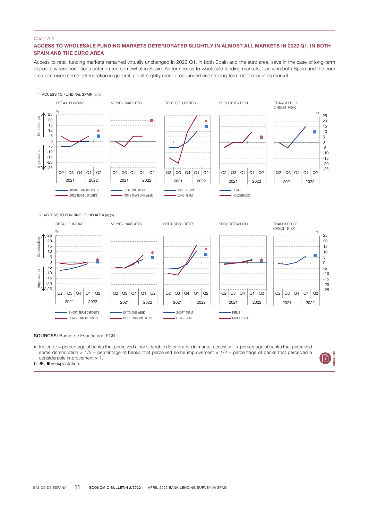## ACCESS TO WHOLESALE FUNDING MARKETS DETERIORATED SLIGHTLY IN ALMOST ALL MARKETS IN 2022 Q1, IN BOTH SPAIN AND THE EURO AREA

Access to retail funding markets remained virtually unchanged in 2022 Q1, in both Spain and the euro area, save in the case of long-term deposits where conditions deteriorated somewhat in Spain. As for access to wholesale funding markets, banks in both Spain and the euro area perceived some deterioration in general, albeit slightly more pronounced on the long-term debt securities market.



SOURCES: Banco de España and ECB.

 $a$  Indicator = percentage of banks that perceived a considerable deterioration in market access  $\times$  1 + percentage of banks that perceived some deterioration  $\times$  1/2 – percentage of banks that perceived some improvement  $\times$  1/2 – percentage of banks that perceived a considerable improvement  $\times$  1.



 $\mathbf{b} \triangleq \mathbf{B} = \mathbf{expectation}$ .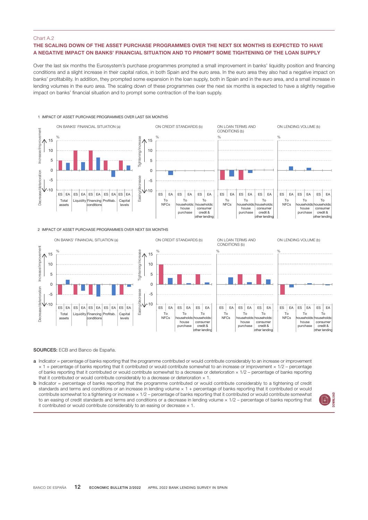## THE SCALING DOWN OF THE ASSET PURCHASE PROGRAMMES OVER THE NEXT SIX MONTHS IS EXPECTED TO HAVE A NEGATIVE IMPACT ON BANKS' FINANCIAL SITUATION AND TO PROMPT SOME TIGHTENING OF THE LOAN SUPPLY

Over the last six months the Eurosystem's purchase programmes prompted a small improvement in banks' liquidity position and financing conditions and a slight increase in their capital ratios, in both Spain and the euro area. In the euro area they also had a negative impact on banks' profitability. In addition, they prompted some expansion in the loan supply, both in Spain and in the euro area, and a small increase in lending volumes in the euro area. The scaling down of these programmes over the next six months is expected to have a slightly negative impact on banks' financial situation and to prompt some contraction of the loan supply.



2 IMPACT OF ASSET PURCHASE PROGRAMMES OVER NEXT SIX MONTHS



- a Indicator = percentage of banks reporting that the programme contributed or would contribute considerably to an increase or improvement × 1 + percentage of banks reporting that it contributed or would contribute somewhat to an increase or improvement × 1/2 – percentage of banks reporting that it contributed or would contribute somewhat to a decrease or deterioration × 1/2 – percentage of banks reporting that it contributed or would contribute considerably to a decrease or deterioration  $\times$  1.
- **b** Indicator = percentage of banks reporting that the programme contributed or would contribute considerably to a tightening of credit standards and terms and conditions or an increase in lending volume  $\times$  1 + percentage of banks reporting that it contributed or would contribute somewhat to a tightening or increase × 1/2 – percentage of banks reporting that it contributed or would contribute somewhat to an easing of credit standards and terms and conditions or a decrease in lending volume  $\times$  1/2 – percentage of banks reporting that it contributed or would contribute considerably to an easing or decrease  $\times$  1.

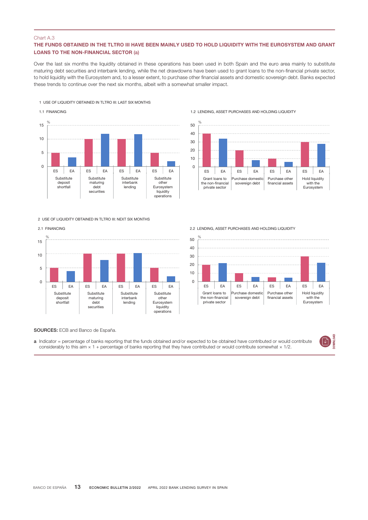## THE FUNDS OBTAINED IN THE TLTRO III HAVE BEEN MAINLY USED TO HOLD LIQUIDITY WITH THE EUROSYSTEM AND GRANT LOANS TO THE NON-FINANCIAL SECTOR (a)

Over the last six months the liquidity obtained in these operations has been used in both Spain and the euro area mainly to substitute maturing debt securities and interbank lending, while the net drawdowns have been used to grant loans to the non-financial private sector, to hold liquidity with the Eurosystem and, to a lesser extent, to purchase other financial assets and domestic sovereign debt. Banks expected these trends to continue over the next six months, albeit with a somewhat smaller impact.

#### 1 USE OF LIQUIDITY OBTAINED IN TLTRO III: LAST SIX MONTHS



2 LISE OF LIQUIDITY OBTAINED IN TLTRO III: NEXT SIX MONTHS

#### 2.1 FINANCING



1.2 LENDING, ASSET PURCHASES AND HOLDING LIQUIDITY



2.2 LENDING, ASSET PURCHASES AND HOLDING LIQUIDITY



SOURCES: ECB and Banco de España.

a Indicator = percentage of banks reporting that the funds obtained and/or expected to be obtained have contributed or would contribute considerably to this aim  $\times$  1 + percentage of banks reporting that they have contributed or would contribute somewhat  $\times$  1/2.